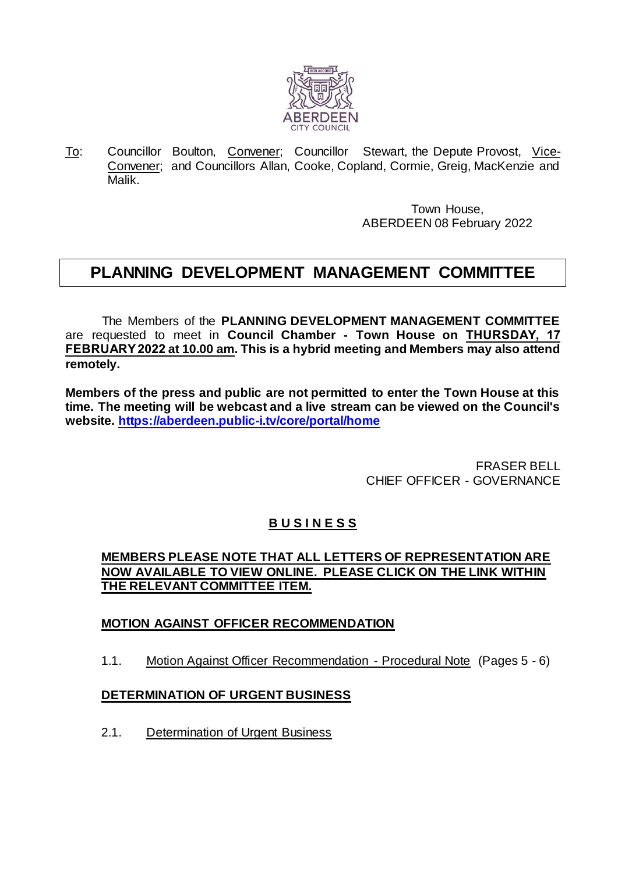

To: Councillor Boulton, Convener; Councillor Stewart, the Depute Provost, Vice-Convener; and Councillors Allan, Cooke, Copland, Cormie, Greig, MacKenzie and Malik.

> Town House, ABERDEEN 08 February 2022

# **PLANNING DEVELOPMENT MANAGEMENT COMMITTEE**

The Members of the **PLANNING DEVELOPMENT MANAGEMENT COMMITTEE** are requested to meet in **Council Chamber - Town House on THURSDAY, 17 FEBRUARY 2022 at 10.00 am. This is a hybrid meeting and Members may also attend remotely.** 

**Members of the press and public are not permitted to enter the Town House at this time. The meeting will be webcast and a live stream can be viewed on the Council's website.<https://aberdeen.public-i.tv/core/portal/home>**

> FRASER BELL CHIEF OFFICER - GOVERNANCE

## **B U S I N E S S**

## **MEMBERS PLEASE NOTE THAT ALL LETTERS OF REPRESENTATION ARE NOW AVAILABLE TO VIEW ONLINE. PLEASE CLICK ON THE LINK WITHIN THE RELEVANT COMMITTEE ITEM.**

## **MOTION AGAINST OFFICER RECOMMENDATION**

1.1. Motion Against Officer Recommendation - Procedural Note (Pages 5 - 6)

## **DETERMINATION OF URGENT BUSINESS**

2.1. Determination of Urgent Business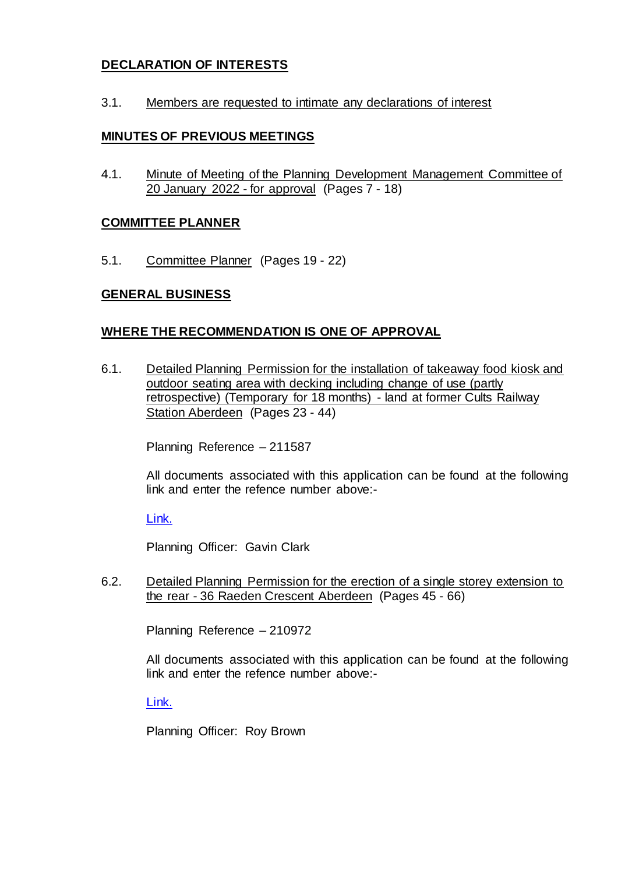## **DECLARATION OF INTERESTS**

3.1. Members are requested to intimate any declarations of interest

#### **MINUTES OF PREVIOUS MEETINGS**

4.1. Minute of Meeting of the Planning Development Management Committee of 20 January 2022 - for approval (Pages 7 - 18)

#### **COMMITTEE PLANNER**

5.1. Committee Planner (Pages 19 - 22)

#### **GENERAL BUSINESS**

#### **WHERE THE RECOMMENDATION IS ONE OF APPROVAL**

6.1. Detailed Planning Permission for the installation of takeaway food kiosk and outdoor seating area with decking including change of use (partly retrospective) (Temporary for 18 months) - land at former Cults Railway Station Aberdeen (Pages 23 - 44)

Planning Reference – 211587

All documents associated with this application can be found at the following link and enter the refence number above:-

[Link.](https://publicaccess.aberdeencity.gov.uk/online-applications/)

Planning Officer: Gavin Clark

6.2. Detailed Planning Permission for the erection of a single storey extension to the rear - 36 Raeden Crescent Aberdeen (Pages 45 - 66)

Planning Reference – 210972

All documents associated with this application can be found at the following link and enter the refence number above:-

[Link.](https://publicaccess.aberdeencity.gov.uk/online-applications/)

Planning Officer: Roy Brown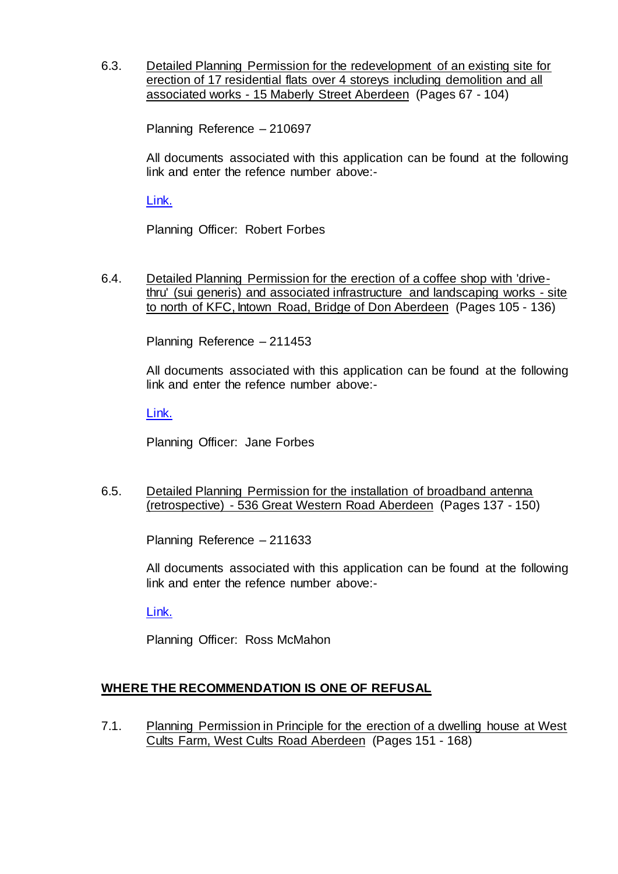6.3. Detailed Planning Permission for the redevelopment of an existing site for erection of 17 residential flats over 4 storeys including demolition and all associated works - 15 Maberly Street Aberdeen (Pages 67 - 104)

Planning Reference – 210697

All documents associated with this application can be found at the following link and enter the refence number above:-

[Link.](https://publicaccess.aberdeencity.gov.uk/online-applications/)

Planning Officer: Robert Forbes

6.4. Detailed Planning Permission for the erection of a coffee shop with 'drivethru' (sui generis) and associated infrastructure and landscaping works - site to north of KFC, Intown Road, Bridge of Don Aberdeen (Pages 105 - 136)

Planning Reference – 211453

All documents associated with this application can be found at the following link and enter the refence number above:-

[Link.](https://publicaccess.aberdeencity.gov.uk/online-applications/)

Planning Officer: Jane Forbes

6.5. Detailed Planning Permission for the installation of broadband antenna (retrospective) - 536 Great Western Road Aberdeen (Pages 137 - 150)

Planning Reference – 211633

All documents associated with this application can be found at the following link and enter the refence number above:-

[Link.](https://publicaccess.aberdeencity.gov.uk/online-applications/)

Planning Officer: Ross McMahon

## **WHERE THE RECOMMENDATION IS ONE OF REFUSAL**

7.1. Planning Permission in Principle for the erection of a dwelling house at West Cults Farm, West Cults Road Aberdeen (Pages 151 - 168)